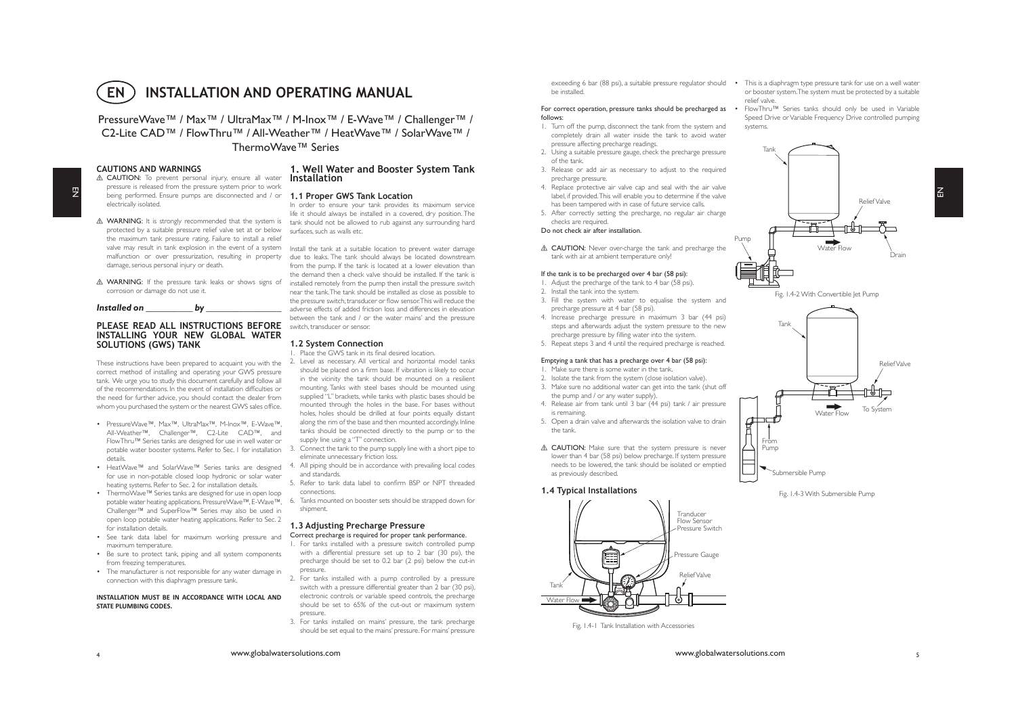

PressureWave™ / Max<sup>™</sup> / UltraMax<sup>™</sup> / M-Inox<sup>™</sup> / E-Wave™ / Challenger<sup>™</sup> / C2-Lite CAD™ / FlowThru™ / All-Weather™ / HeatWave™ / SolarWave™ / ThermoWave™ Series

# **CAUTIONS AND WARNINGS**

- $\overline{z}$
- A CAUTION: To prevent personal injury, ensure all water **Installatio** pressure is released from the pressure system prior to work being performed. Ensure pumps are disconnected and / or **1.1 Proper GWS Tank Location** electrically isolated.
- **△ WARNING:** It is strongly recommended that the system is tank should not be allowed to rub against any surrounding hard protected by a suitable pressure relief valve set at or below the maximum tank pressure rating. Failure to install a relief valve may result in tank explosion in the event of a system damage, serious personal injury or death.
- corrosion or damage do not use it.

| Installed on | hv |  |
|--------------|----|--|
|              |    |  |

# **PLEASE READ ALL INSTRUCTIONS BEFORE INSTALLING YOUR NEW GLOBAL WATER SOLUTIONS (GWS) TANK**

These instructions have been prepared to acquaint you with the correct method of installing and operating your GWS pressure tank. We urge you to study this document carefully and follow all of the recommendations. In the event of installation difficulties or the need for further advice, you should contact the dealer from whom you purchased the system or the nearest GWS sales office.

- PressureWave™, Max™, UltraMax™, M-Inox™, E-Wave™, All-Weather™, Challenger™, C2-Lite CAD™, and FlowThru™ Series tanks are designed for use in well water or potable water booster systems. Refer to Sec. 1 for installation details.
- HeatWave™ and SolarWave™ Series tanks are designed for use in non-potable closed loop hydronic or solar water heating systems. Refer to Sec. 2 for installation details.
- ThermoWave™ Series tanks are designed for use in open loop potable water heating applications. PressureWave™, E-Wave™, Challenger™ and SuperFlow™ Series may also be used in open loop potable water heating applications. Refer to Sec. 2 for installation details.
- See tank data label for maximum working pressure and maximum temperature.
- Be sure to protect tank, piping and all system components from freezing temperatures.
- The manufacturer is not responsible for any water damage in connection with this diaphragm pressure tank.

#### **INSTALLATION MUST BE IN ACCORDANCE WITH LOCAL AND STATE PLUMBING CODES.**

# 1. Well Water and Booster System Tank

In order to ensure your tank provides its maximum service life it should always be installed in a covered, dry position. The surfaces, such as walls etc.

malfunction or over pressurization, resulting in property due to leaks. The tank should always be located downstream **△ WARNING:** If the pressure tank leaks or shows signs of installed remotely from the pump then install the pressure switch Install the tank at a suitable location to prevent water damage from the pump. If the tank is located at a lower elevation than the demand then a check valve should be installed. If the tank is near the tank. The tank should be installed as close as possible to the pressure switch, transducer or flow sensor. This will reduce the adverse effects of added friction loss and differences in elevation between the tank and / or the water mains' and the pressure switch, transducer or sensor.

#### **1.2 System Connection**

**Place the GWS tank in its final desired location.** 

- 2. Level as necessary. All vertical and horizontal model tanks should be placed on a firm base. If vibration is likely to occur in the vicinity the tank should be mounted on a resilient mounting. Tanks with steel bases should be mounted using supplied "L" brackets, while tanks with plastic bases should be mounted through the holes in the base. For bases without holes, holes should be drilled at four points equally distant along the rim of the base and then mounted accordingly. Inline tanks should be connected directly to the pump or to the supply line using a "T" connection.
- Connect the tank to the pump supply line with a short pipe to eliminate unnecessary friction loss.
- 4. All piping should be in accordance with prevailing local codes and standards.
- 5. Refer to tank data label to confirm BSP or NPT threaded connections.
- 6. Tanks mounted on booster sets should be strapped down for shipment.

# **1.3 Adjusting Precharge Pressure**

- Correct precharge is required for proper tank performance. 1. For tanks installed with a pressure switch controlled pump with a differential pressure set up to 2 bar (30 psi), the precharge should be set to 0.2 bar (2 psi) below the cut-in pressure.
- 2. For tanks installed with a pump controlled by a pressure switch with a pressure differential greater than 2 bar (30 psi), electronic controls or variable speed controls, the precharge should be set to 65% of the cut-out or maximum system pressure.
- 3. For tanks installed on mains' pressure, the tank precharge should be set equal to the mains' pressure. For mains' pressure

be installed.

#### For correct operation, pressure tanks should be precharged as  $\cdot$ follows:

- 1. Turn off the pump, disconnect the tank from the system and completely drain all water inside the tank to avoid water pressure affecting precharge readings.
- 2. Using a suitable pressure gauge, check the precharge pressure of the tank.
- 3. Release or add air as necessary to adjust to the required precharge pressure.
- 4. Replace protective air valve cap and seal with the air valve label, if provided. This will enable you to determine if the valve has been tampered with in case of future service calls.
- 5. After correctly setting the precharge, no regular air charge checks are required.

#### Do not check air after installation.

△ CAUTION: Never over-charge the tank and precharge the tank with air at ambient temperature only!

#### If the tank is to be precharged over 4 bar (58 psi):

- 1. Adjust the precharge of the tank to 4 bar (58 psi).
- 2. Install the tank into the system.
- 3. Fill the system with water to equalise the system and precharge pressure at 4 bar (58 psi).
- 4. Increase precharge pressure in maximum 3 bar (44 psi) steps and afterwards adjust the system pressure to the new precharge pressure by filling water into the system.
- 5. Repeat steps 3 and 4 until the required precharge is reached.

#### Emptying a tank that has a precharge over 4 bar (58 psi):

- 1. Make sure there is some water in the tank.
- 2. Isolate the tank from the system (close isolation valve).
- 3. Make sure no additional water can get into the tank (shut off the pump and / or any water supply).
- 4. Release air from tank until 3 bar (44 psi) tank / air pressure is remaining.
- 5. Open a drain valve and afterwards the isolation valve to drain the tank.
- △ CAUTION: Make sure that the system pressure is never lower than 4 bar (58 psi) below precharge. If system pressure needs to be lowered, the tank should be isolated or emptied as previously described.

### **1.4 Typical Installations**



Fig. 1.4-1 Tank Installation with Accessories

exceeding 6 bar (88 psi), a suitable pressure regulator should • This is a diaphragm type pressure tank for use on a well water or booster system. The system must be protected by a suitable relief valve.

> • FlowThru™ Series tanks should only be used in Variable Speed Drive or Variable Frequency Drive controlled pumping systems.



Fig. 1.4-2 With Convertible Jet Pump







www.globalwatersolutions.com www.globalwatersolutions.com <sup>5</sup>

4